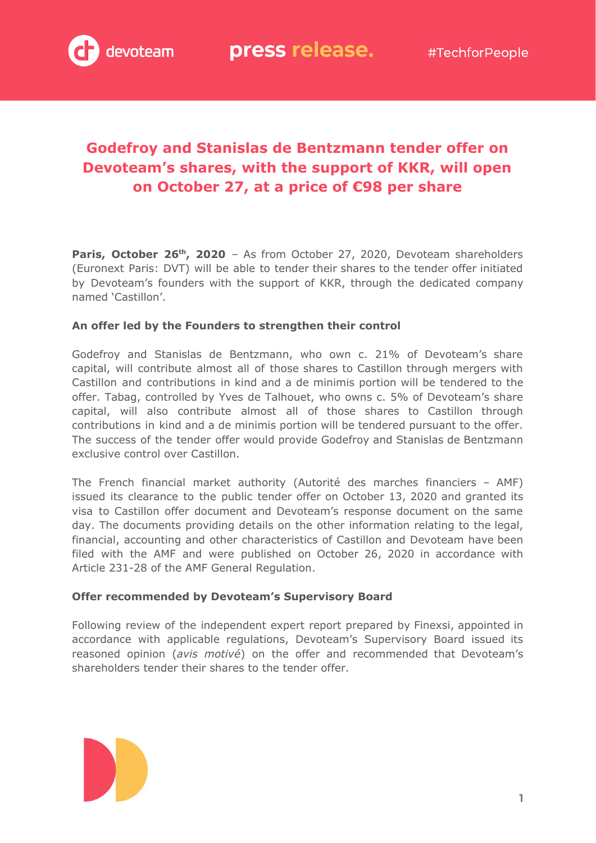

# **Godefroy and Stanislas de Bentzmann tender offer on Devoteam's shares, with the support of KKR, will open on October 27, at a price of €98 per share**

**Paris, October 26th , 2020** – As from October 27, 2020, Devoteam shareholders (Euronext Paris: DVT) will be able to tender their shares to the tender offer initiated by Devoteam's founders with the support of KKR, through the dedicated company named 'Castillon'.

# **An offer led by the Founders to strengthen their control**

Godefroy and Stanislas de Bentzmann, who own c. 21% of Devoteam's share capital, will contribute almost all of those shares to Castillon through mergers with Castillon and contributions in kind and a de minimis portion will be tendered to the offer. Tabag, controlled by Yves de Talhouet, who owns c. 5% of Devoteam's share capital, will also contribute almost all of those shares to Castillon through contributions in kind and a de minimis portion will be tendered pursuant to the offer. The success of the tender offer would provide Godefroy and Stanislas de Bentzmann exclusive control over Castillon.

The French financial market authority (Autorité des marches financiers – AMF) issued its clearance to the public tender offer on October 13, 2020 and granted its visa to Castillon offer document and Devoteam's response document on the same day. The documents providing details on the other information relating to the legal, financial, accounting and other characteristics of Castillon and Devoteam have been filed with the AMF and were published on October 26, 2020 in accordance with Article 231-28 of the AMF General Regulation.

## **Offer recommended by Devoteam's Supervisory Board**

Following review of the independent expert report prepared by Finexsi, appointed in accordance with applicable regulations, Devoteam's Supervisory Board issued its reasoned opinion (*avis motivé*) on the offer and recommended that Devoteam's shareholders tender their shares to the tender offer.

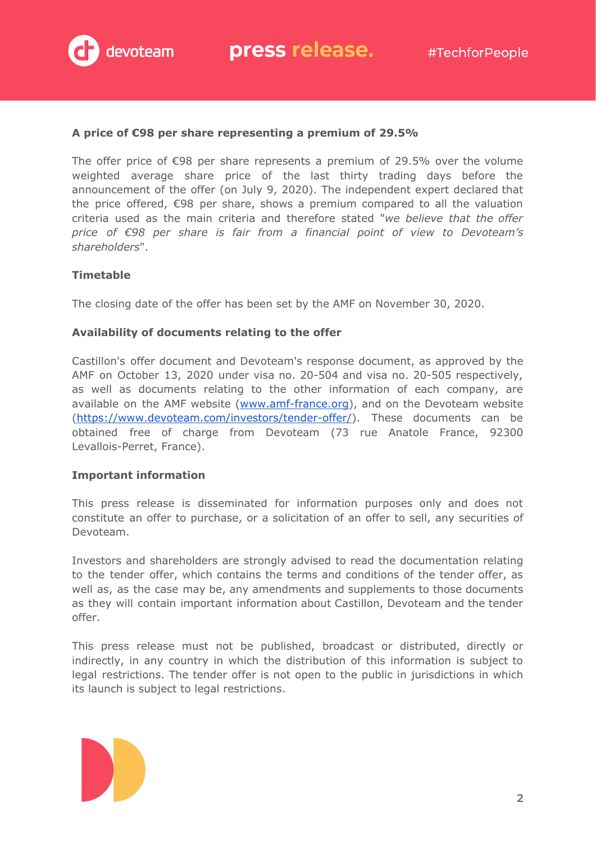

### **A price of €98 per share representing a premium of 29.5%**

The offer price of  $\epsilon$ 98 per share represents a premium of 29.5% over the volume weighted average share price of the last thirty trading days before the announcement of the offer (on July 9, 2020). The independent expert declared that the price offered, €98 per share, shows a premium compared to all the valuation criteria used as the main criteria and therefore stated "*we believe that the offer price of €98 per share is fair from a financial point of view to Devoteam's shareholders*".

## **Timetable**

The closing date of the offer has been set by the AMF on November 30, 2020.

#### **Availability of documents relating to the offer**

Castillon's offer document and Devoteam's response document, as approved by the AMF on October 13, 2020 under visa no. 20-504 and visa no. 20-505 respectively, as well as documents relating to the other information of each company, are available on the AMF website [\(www.amf-france.org\)](http://www.amf-france.org/), and on the Devoteam website ([https://www.devoteam.com/investors/tender-offer/\)](https://www.devoteam.com/investors/tender-offer/). These documents can be obtained free of charge from Devoteam (73 rue Anatole France, 92300 Levallois-Perret, France).

#### **Important information**

This press release is disseminated for information purposes only and does not constitute an offer to purchase, or a solicitation of an offer to sell, any securities of Devoteam.

Investors and shareholders are strongly advised to read the documentation relating to the tender offer, which contains the terms and conditions of the tender offer, as well as, as the case may be, any amendments and supplements to those documents as they will contain important information about Castillon, Devoteam and the tender offer.

This press release must not be published, broadcast or distributed, directly or indirectly, in any country in which the distribution of this information is subject to legal restrictions. The tender offer is not open to the public in jurisdictions in which its launch is subject to legal restrictions.